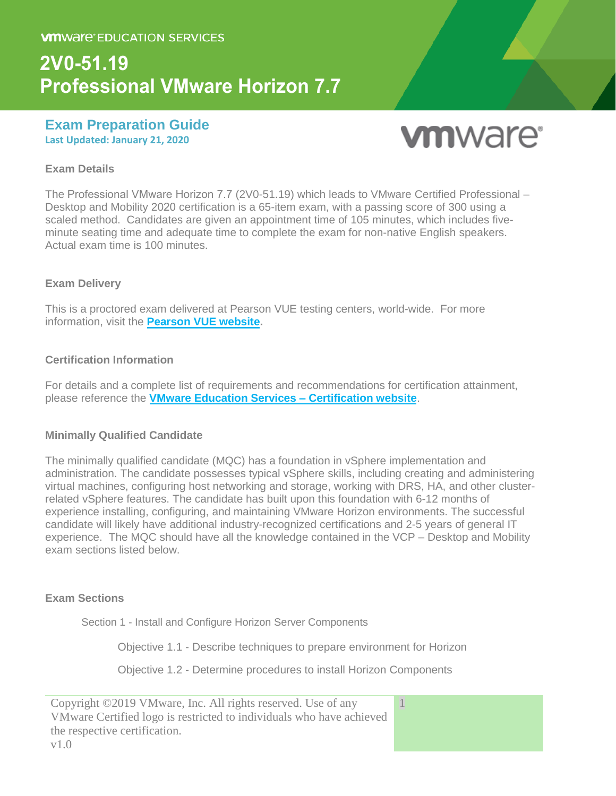# **2V0-51.19 Professional VMware Horizon 7.7**

#### **Exam Preparation Guide Last Updated: January 21, 2020**



#### **Exam Details**

The Professional VMware Horizon 7.7 (2V0-51.19) which leads to VMware Certified Professional – Desktop and Mobility 2020 certification is a 65-item exam, with a passing score of 300 using a scaled method. Candidates are given an appointment time of 105 minutes, which includes fiveminute seating time and adequate time to complete the exam for non-native English speakers. Actual exam time is 100 minutes.

#### **Exam Delivery**

This is a proctored exam delivered at Pearson VUE testing centers, world-wide. For more information, visit the **[Pearson VUE](https://home.pearsonvue.com/) website.**

## **Certification Information**

For details and a complete list of requirements and recommendations for certification attainment, please reference the **[VMware Education Services –](https://www.vmware.com/education-services/certification.html) Certification website**.

#### **Minimally Qualified Candidate**

The minimally qualified candidate (MQC) has a foundation in vSphere implementation and administration. The candidate possesses typical vSphere skills, including creating and administering virtual machines, configuring host networking and storage, working with DRS, HA, and other clusterrelated vSphere features. The candidate has built upon this foundation with 6-12 months of experience installing, configuring, and maintaining VMware Horizon environments. The successful candidate will likely have additional industry-recognized certifications and 2-5 years of general IT experience. The MQC should have all the knowledge contained in the VCP – Desktop and Mobility exam sections listed below.

#### **Exam Sections**

Section 1 - Install and Configure Horizon Server Components

Objective 1.1 - Describe techniques to prepare environment for Horizon

1

Objective 1.2 - Determine procedures to install Horizon Components

| Copyright ©2019 VMware, Inc. All rights reserved. Use of any         |
|----------------------------------------------------------------------|
| VMware Certified logo is restricted to individuals who have achieved |
| the respective certification.                                        |
| V1.0                                                                 |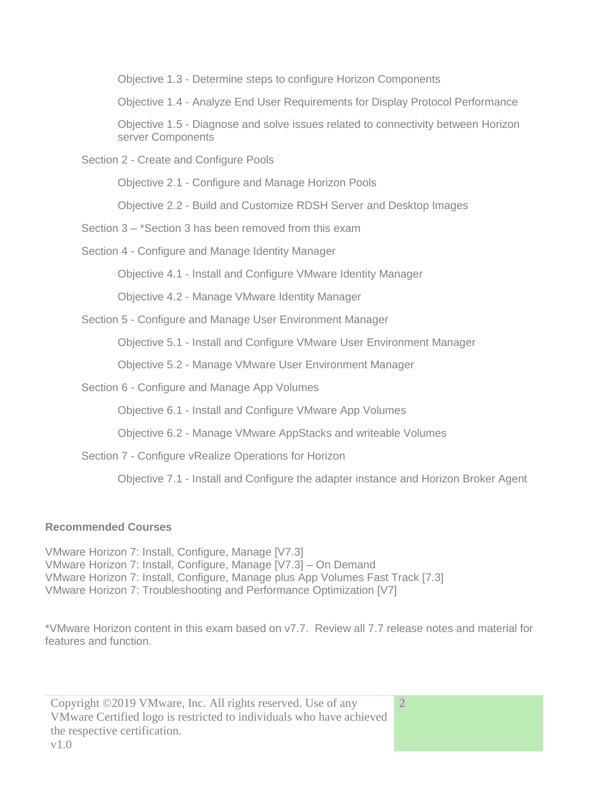Objective 1.3 - Determine steps to configure Horizon Components

Objective 1.4 - Analyze End User Requirements for Display Protocol Performance

Objective 1.5 - Diagnose and solve issues related to connectivity between Horizon server Components

Section 2 - Create and Configure Pools

Objective 2.1 - Configure and Manage Horizon Pools

Objective 2.2 - Build and Customize RDSH Server and Desktop Images

Section 3 – \*Section 3 has been removed from this exam

Section 4 - Configure and Manage Identity Manager

Objective 4.1 - Install and Configure VMware Identity Manager

Objective 4.2 - Manage VMware Identity Manager

Section 5 - Configure and Manage User Environment Manager

Objective 5.1 - Install and Configure VMware User Environment Manager

Objective 5.2 - Manage VMware User Environment Manager

Section 6 - Configure and Manage App Volumes

Objective 6.1 - Install and Configure VMware App Volumes

Objective 6.2 - Manage VMware AppStacks and writeable Volumes

Section 7 - Configure vRealize Operations for Horizon

Objective 7.1 - Install and Configure the adapter instance and Horizon Broker Agent

# **Recommended Courses**

VMware Horizon 7: Install, Configure, Manage [V7.3] VMware Horizon 7: Install, Configure, Manage [V7.3] – On Demand VMware Horizon 7: Install, Configure, Manage plus App Volumes Fast Track [7.3] VMware Horizon 7: Troubleshooting and Performance Optimization [V7]

\*VMware Horizon content in this exam based on v7.7. Review all 7.7 release notes and material for features and function.

2